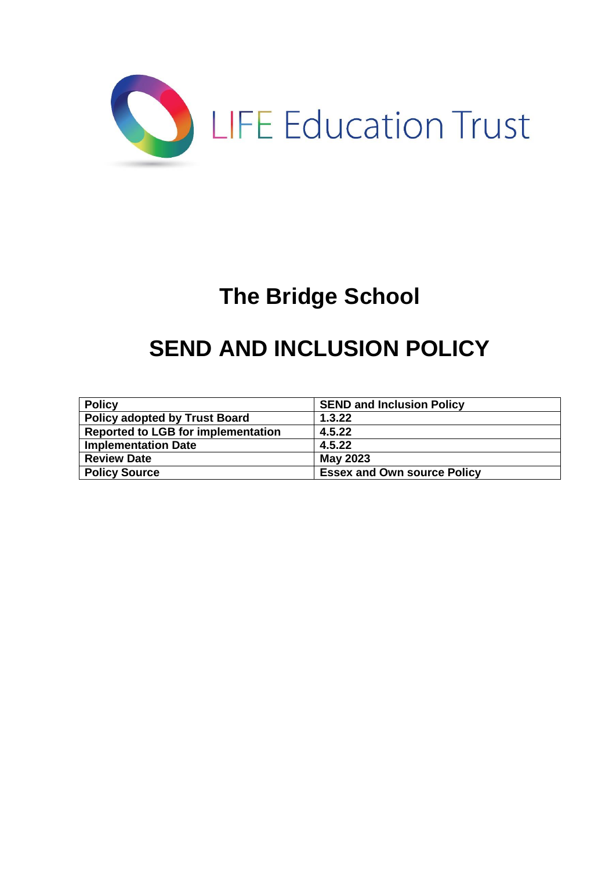

# **The Bridge School**

# **SEND AND INCLUSION POLICY**

| <b>Policy</b>                             | <b>SEND and Inclusion Policy</b>   |
|-------------------------------------------|------------------------------------|
| <b>Policy adopted by Trust Board</b>      | 1.3.22                             |
| <b>Reported to LGB for implementation</b> | 4.5.22                             |
| <b>Implementation Date</b>                | 4.5.22                             |
| <b>Review Date</b>                        | May 2023                           |
| <b>Policy Source</b>                      | <b>Essex and Own source Policy</b> |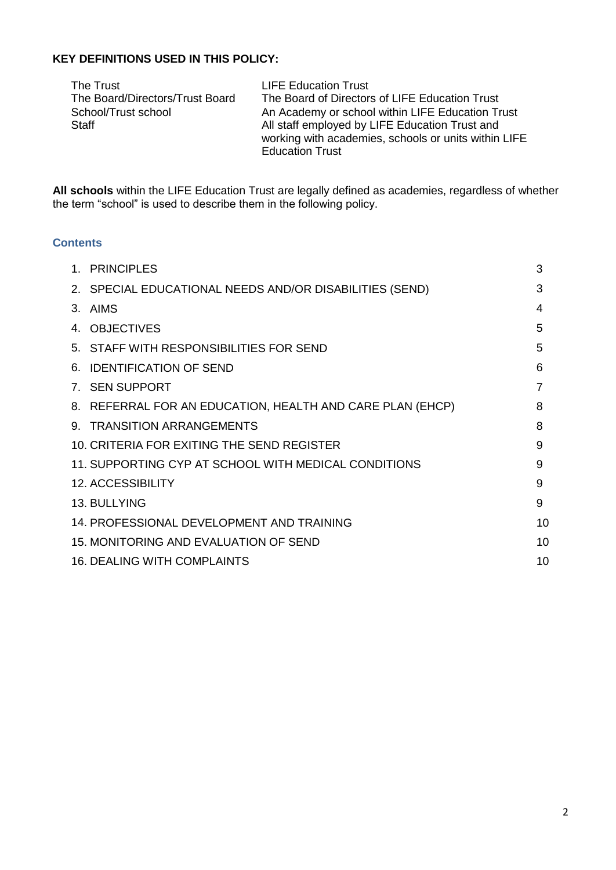#### **KEY DEFINITIONS USED IN THIS POLICY:**

The Trust<br>The Board/Directors/Trust Board<br>The Board of Director

The Board/Directors/Trust Board The Board of Directors of LIFE Education Trust<br>School/Trust school Control An Academy or school within LIFE Education Trust An Academy or school within LIFE Education Trust Staff **All staff employed by LIFE Education Trust and** working with academies, schools or units within LIFE Education Trust

**All schools** within the LIFE Education Trust are legally defined as academies, regardless of whether the term "school" is used to describe them in the following policy.

## **Contents**

| 1. PRINCIPLES                                             | 3  |
|-----------------------------------------------------------|----|
| 2. SPECIAL EDUCATIONAL NEEDS AND/OR DISABILITIES (SEND)   | 3  |
| 3. AIMS                                                   | 4  |
| 4. OBJECTIVES                                             | 5  |
| 5. STAFF WITH RESPONSIBILITIES FOR SEND                   | 5  |
| 6. IDENTIFICATION OF SEND                                 | 6  |
| 7. SEN SUPPORT                                            | 7  |
| 8. REFERRAL FOR AN EDUCATION, HEALTH AND CARE PLAN (EHCP) | 8  |
| 9. TRANSITION ARRANGEMENTS                                | 8  |
| 10. CRITERIA FOR EXITING THE SEND REGISTER                | 9  |
| 11. SUPPORTING CYP AT SCHOOL WITH MEDICAL CONDITIONS      | 9  |
| <b>12. ACCESSIBILITY</b>                                  | 9  |
| 13. BULLYING                                              | 9  |
| 14. PROFESSIONAL DEVELOPMENT AND TRAINING                 | 10 |
| 15. MONITORING AND EVALUATION OF SEND                     | 10 |
| <b>16. DEALING WITH COMPLAINTS</b>                        | 10 |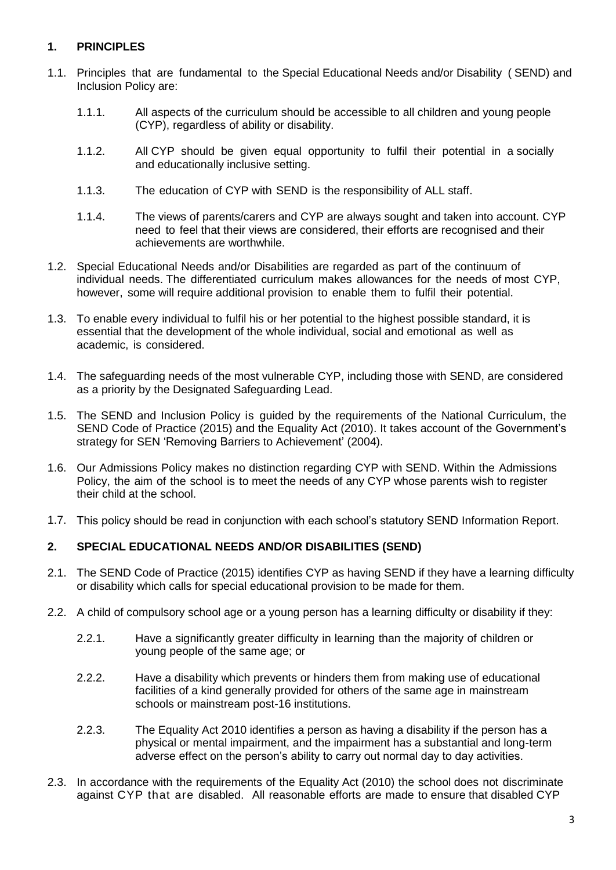# **1. PRINCIPLES**

- 1.1. Principles that are fundamental to the Special Educational Needs and/or Disability ( SEND) and Inclusion Policy are:
	- 1.1.1. All aspects of the curriculum should be accessible to all children and young people (CYP), regardless of ability or disability.
	- 1.1.2. All CYP should be given equal opportunity to fulfil their potential in a socially and educationally inclusive setting.
	- 1.1.3. The education of CYP with SEND is the responsibility of ALL staff.
	- 1.1.4. The views of parents/carers and CYP are always sought and taken into account. CYP need to feel that their views are considered, their efforts are recognised and their achievements are worthwhile.
- 1.2. Special Educational Needs and/or Disabilities are regarded as part of the continuum of individual needs. The differentiated curriculum makes allowances for the needs of most CYP, however, some will require additional provision to enable them to fulfil their potential.
- 1.3. To enable every individual to fulfil his or her potential to the highest possible standard, it is essential that the development of the whole individual, social and emotional as well as academic, is considered.
- 1.4. The safeguarding needs of the most vulnerable CYP, including those with SEND, are considered as a priority by the Designated Safeguarding Lead.
- 1.5. The SEND and Inclusion Policy is guided by the requirements of the National Curriculum, the SEND Code of Practice (2015) and the Equality Act (2010). It takes account of the Government's strategy for SEN 'Removing Barriers to Achievement' (2004).
- 1.6. Our Admissions Policy makes no distinction regarding CYP with SEND. Within the Admissions Policy, the aim of the school is to meet the needs of any CYP whose parents wish to register their child at the school.
- 1.7. This policy should be read in conjunction with each school's statutory SEND Information Report.

#### **2. SPECIAL EDUCATIONAL NEEDS AND/OR DISABILITIES (SEND)**

- 2.1. The SEND Code of Practice (2015) identifies CYP as having SEND if they have a learning difficulty or disability which calls for special educational provision to be made for them.
- 2.2. A child of compulsory school age or a young person has a learning difficulty or disability if they:
	- 2.2.1. Have a significantly greater difficulty in learning than the majority of children or young people of the same age; or
	- 2.2.2. Have a disability which prevents or hinders them from making use of educational facilities of a kind generally provided for others of the same age in mainstream schools or mainstream post-16 institutions.
	- 2.2.3. The Equality Act 2010 identifies a person as having a disability if the person has a physical or mental impairment, and the impairment has a substantial and long-term adverse effect on the person's ability to carry out normal day to day activities.
- 2.3. In accordance with the requirements of the Equality Act (2010) the school does not discriminate against CYP that are disabled. All reasonable efforts are made to ensure that disabled CYP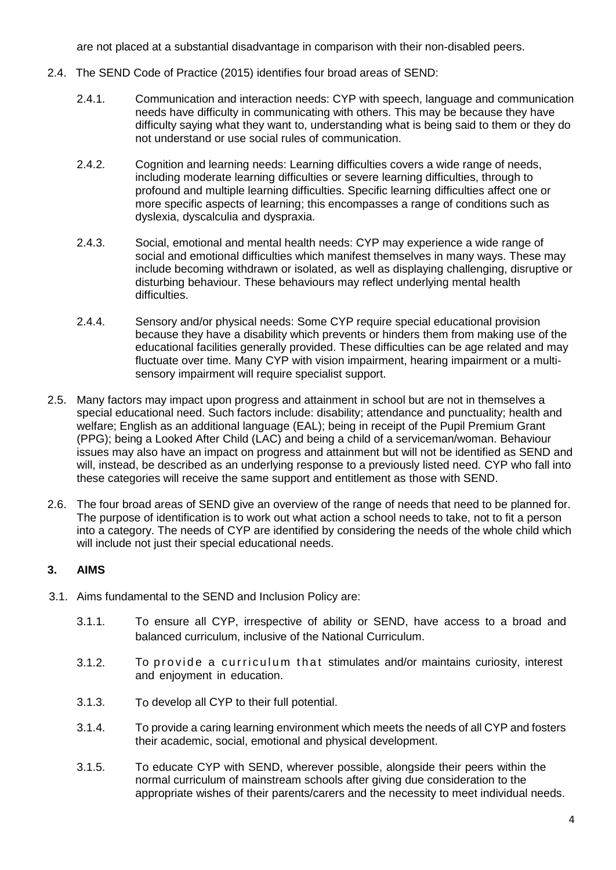are not placed at a substantial disadvantage in comparison with their non-disabled peers.

- 2.4. The SEND Code of Practice (2015) identifies four broad areas of SEND:
	- 2.4.1. Communication and interaction needs: CYP with speech, language and communication needs have difficulty in communicating with others. This may be because they have difficulty saying what they want to, understanding what is being said to them or they do not understand or use social rules of communication.
	- 2.4.2. Cognition and learning needs: Learning difficulties covers a wide range of needs, including moderate learning difficulties or severe learning difficulties, through to profound and multiple learning difficulties. Specific learning difficulties affect one or more specific aspects of learning; this encompasses a range of conditions such as dyslexia, dyscalculia and dyspraxia.
	- 2.4.3. Social, emotional and mental health needs: CYP may experience a wide range of social and emotional difficulties which manifest themselves in many ways. These may include becoming withdrawn or isolated, as well as displaying challenging, disruptive or disturbing behaviour. These behaviours may reflect underlying mental health difficulties.
	- 2.4.4. Sensory and/or physical needs: Some CYP require special educational provision because they have a disability which prevents or hinders them from making use of the educational facilities generally provided. These difficulties can be age related and may fluctuate over time. Many CYP with vision impairment, hearing impairment or a multisensory impairment will require specialist support.
- 2.5. Many factors may impact upon progress and attainment in school but are not in themselves a special educational need. Such factors include: disability; attendance and punctuality; health and welfare; English as an additional language (EAL); being in receipt of the Pupil Premium Grant (PPG); being a Looked After Child (LAC) and being a child of a serviceman/woman. Behaviour issues may also have an impact on progress and attainment but will not be identified as SEND and will, instead, be described as an underlying response to a previously listed need. CYP who fall into these categories will receive the same support and entitlement as those with SEND.
- 2.6. The four broad areas of SEND give an overview of the range of needs that need to be planned for. The purpose of identification is to work out what action a school needs to take, not to fit a person into a category. The needs of CYP are identified by considering the needs of the whole child which will include not just their special educational needs.

# **3. AIMS**

- 3.1. Aims fundamental to the SEND and Inclusion Policy are:
	- 3.1.1. To ensure all CYP, irrespective of ability or SEND, have access to a broad and balanced curriculum, inclusive of the National Curriculum.
	- 3.1.2. To p rovide a curriculum that stimulates and/or maintains curiosity, interest and enjoyment in education.
	- 3.1.3. To develop all CYP to their full potential.
	- 3.1.4. To provide a caring learning environment which meets the needs of all CYP and fosters their academic, social, emotional and physical development.
	- 3.1.5. To educate CYP with SEND, wherever possible, alongside their peers within the normal curriculum of mainstream schools after giving due consideration to the appropriate wishes of their parents/carers and the necessity to meet individual needs.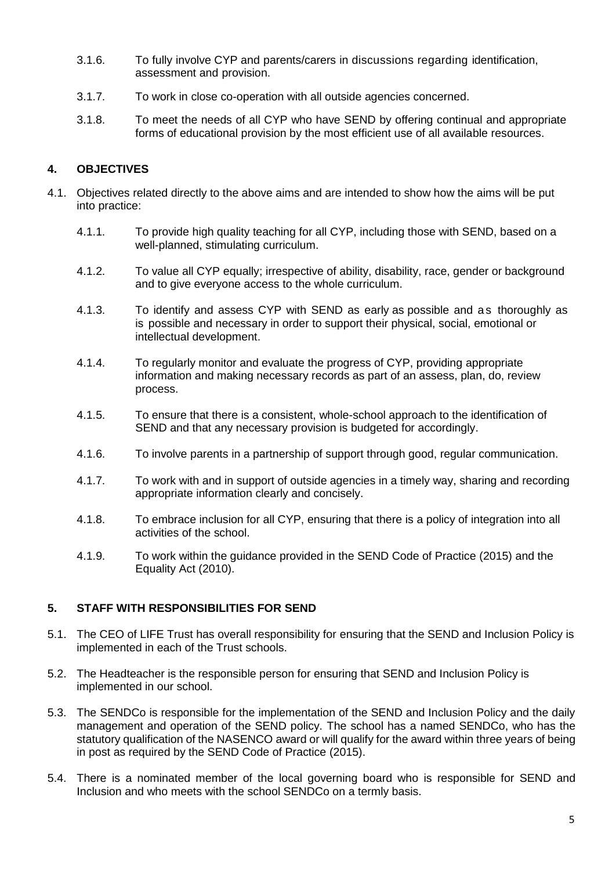- 3.1.6. To fully involve CYP and parents/carers in discussions regarding identification, assessment and provision.
- 3.1.7. To work in close co-operation with all outside agencies concerned.
- 3.1.8. To meet the needs of all CYP who have SEND by offering continual and appropriate forms of educational provision by the most efficient use of all available resources.

# **4. OBJECTIVES**

- 4.1. Objectives related directly to the above aims and are intended to show how the aims will be put into practice:
	- 4.1.1. To provide high quality teaching for all CYP, including those with SEND, based on a well-planned, stimulating curriculum.
	- 4.1.2. To value all CYP equally; irrespective of ability, disability, race, gender or background and to give everyone access to the whole curriculum.
	- 4.1.3. To identify and assess CYP with SEND as early as possible and as thoroughly as is possible and necessary in order to support their physical, social, emotional or intellectual development.
	- 4.1.4. To regularly monitor and evaluate the progress of CYP, providing appropriate information and making necessary records as part of an assess, plan, do, review process.
	- 4.1.5. To ensure that there is a consistent, whole-school approach to the identification of SEND and that any necessary provision is budgeted for accordingly.
	- 4.1.6. To involve parents in a partnership of support through good, regular communication.
	- 4.1.7. To work with and in support of outside agencies in a timely way, sharing and recording appropriate information clearly and concisely.
	- 4.1.8. To embrace inclusion for all CYP, ensuring that there is a policy of integration into all activities of the school.
	- 4.1.9. To work within the guidance provided in the SEND Code of Practice (2015) and the Equality Act (2010).

## **5. STAFF WITH RESPONSIBILITIES FOR SEND**

- 5.1. The CEO of LIFE Trust has overall responsibility for ensuring that the SEND and Inclusion Policy is implemented in each of the Trust schools.
- 5.2. The Headteacher is the responsible person for ensuring that SEND and Inclusion Policy is implemented in our school.
- 5.3. The SENDCo is responsible for the implementation of the SEND and Inclusion Policy and the daily management and operation of the SEND policy. The school has a named SENDCo, who has the statutory qualification of the NASENCO award or will qualify for the award within three years of being in post as required by the SEND Code of Practice (2015).
- 5.4. There is a nominated member of the local governing board who is responsible for SEND and Inclusion and who meets with the school SENDCo on a termly basis.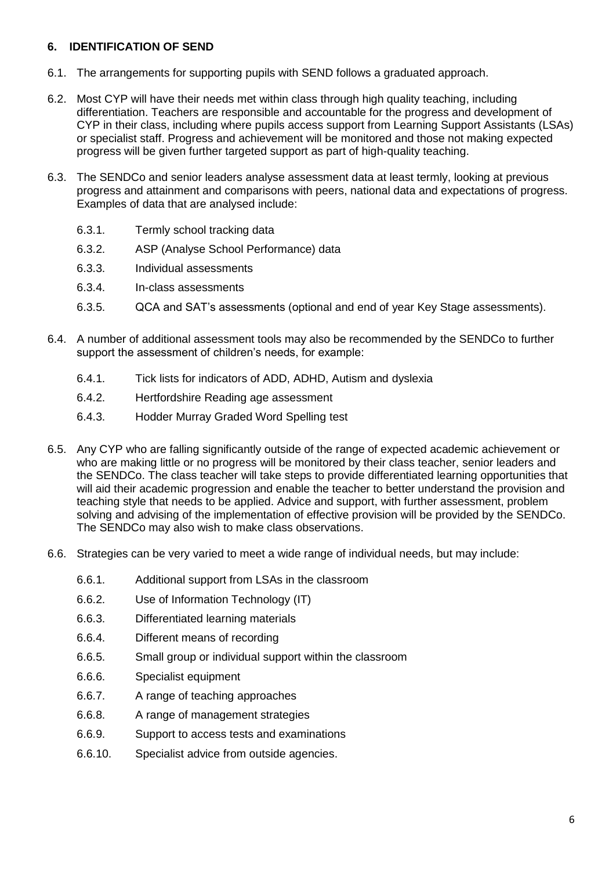## **6. IDENTIFICATION OF SEND**

- 6.1. The arrangements for supporting pupils with SEND follows a graduated approach.
- 6.2. Most CYP will have their needs met within class through high quality teaching, including differentiation. Teachers are responsible and accountable for the progress and development of CYP in their class, including where pupils access support from Learning Support Assistants (LSAs) or specialist staff. Progress and achievement will be monitored and those not making expected progress will be given further targeted support as part of high-quality teaching.
- 6.3. The SENDCo and senior leaders analyse assessment data at least termly, looking at previous progress and attainment and comparisons with peers, national data and expectations of progress. Examples of data that are analysed include:
	- 6.3.1. Termly school tracking data
	- 6.3.2. ASP (Analyse School Performance) data
	- 6.3.3. Individual assessments
	- 6.3.4. In-class assessments
	- 6.3.5. QCA and SAT's assessments (optional and end of year Key Stage assessments).
- 6.4. A number of additional assessment tools may also be recommended by the SENDCo to further support the assessment of children's needs, for example:
	- 6.4.1. Tick lists for indicators of ADD, ADHD, Autism and dyslexia
	- 6.4.2. Hertfordshire Reading age assessment
	- 6.4.3. Hodder Murray Graded Word Spelling test
- 6.5. Any CYP who are falling significantly outside of the range of expected academic achievement or who are making little or no progress will be monitored by their class teacher, senior leaders and the SENDCo. The class teacher will take steps to provide differentiated learning opportunities that will aid their academic progression and enable the teacher to better understand the provision and teaching style that needs to be applied. Advice and support, with further assessment, problem solving and advising of the implementation of effective provision will be provided by the SENDCo. The SENDCo may also wish to make class observations.
- 6.6. Strategies can be very varied to meet a wide range of individual needs, but may include:
	- 6.6.1. Additional support from LSAs in the classroom
	- 6.6.2. Use of Information Technology (IT)
	- 6.6.3. Differentiated learning materials
	- 6.6.4. Different means of recording
	- 6.6.5. Small group or individual support within the classroom
	- 6.6.6. Specialist equipment
	- 6.6.7. A range of teaching approaches
	- 6.6.8. A range of management strategies
	- 6.6.9. Support to access tests and examinations
	- 6.6.10. Specialist advice from outside agencies.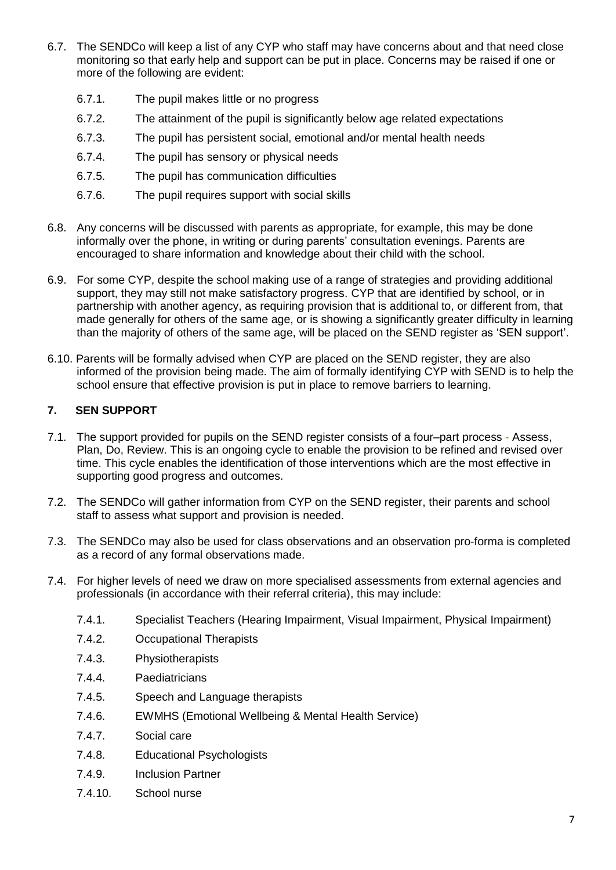- 6.7. The SENDCo will keep a list of any CYP who staff may have concerns about and that need close monitoring so that early help and support can be put in place. Concerns may be raised if one or more of the following are evident:
	- 6.7.1. The pupil makes little or no progress
	- 6.7.2. The attainment of the pupil is significantly below age related expectations
	- 6.7.3. The pupil has persistent social, emotional and/or mental health needs
	- 6.7.4. The pupil has sensory or physical needs
	- 6.7.5. The pupil has communication difficulties
	- 6.7.6. The pupil requires support with social skills
- 6.8. Any concerns will be discussed with parents as appropriate, for example, this may be done informally over the phone, in writing or during parents' consultation evenings. Parents are encouraged to share information and knowledge about their child with the school.
- 6.9. For some CYP, despite the school making use of a range of strategies and providing additional support, they may still not make satisfactory progress. CYP that are identified by school, or in partnership with another agency, as requiring provision that is additional to, or different from, that made generally for others of the same age, or is showing a significantly greater difficulty in learning than the majority of others of the same age, will be placed on the SEND register as 'SEN support'.
- 6.10. Parents will be formally advised when CYP are placed on the SEND register, they are also informed of the provision being made. The aim of formally identifying CYP with SEND is to help the school ensure that effective provision is put in place to remove barriers to learning.

## **7. SEN SUPPORT**

- 7.1. The support provided for pupils on the SEND register consists of a four–part process Assess, Plan, Do, Review. This is an ongoing cycle to enable the provision to be refined and revised over time. This cycle enables the identification of those interventions which are the most effective in supporting good progress and outcomes.
- 7.2. The SENDCo will gather information from CYP on the SEND register, their parents and school staff to assess what support and provision is needed.
- 7.3. The SENDCo may also be used for class observations and an observation pro-forma is completed as a record of any formal observations made.
- 7.4. For higher levels of need we draw on more specialised assessments from external agencies and professionals (in accordance with their referral criteria), this may include:
	- 7.4.1. Specialist Teachers (Hearing Impairment, Visual Impairment, Physical Impairment)
	- 7.4.2. Occupational Therapists
	- 7.4.3. Physiotherapists
	- 7.4.4. Paediatricians
	- 7.4.5. Speech and Language therapists
	- 7.4.6. EWMHS (Emotional Wellbeing & Mental Health Service)
	- 7.4.7. Social care
	- 7.4.8. Educational Psychologists
	- 7.4.9. Inclusion Partner
	- 7.4.10. School nurse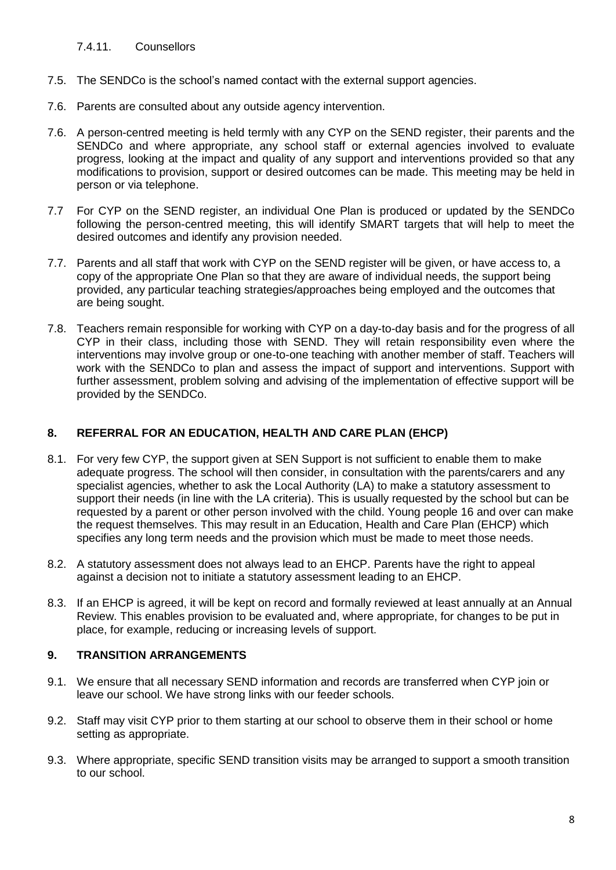#### 7.4.11. Counsellors

- 7.5. The SENDCo is the school's named contact with the external support agencies.
- 7.6. Parents are consulted about any outside agency intervention.
- 7.6. A person-centred meeting is held termly with any CYP on the SEND register, their parents and the SENDCo and where appropriate, any school staff or external agencies involved to evaluate progress, looking at the impact and quality of any support and interventions provided so that any modifications to provision, support or desired outcomes can be made. This meeting may be held in person or via telephone.
- 7.7 For CYP on the SEND register, an individual One Plan is produced or updated by the SENDCo following the person-centred meeting, this will identify SMART targets that will help to meet the desired outcomes and identify any provision needed.
- 7.7. Parents and all staff that work with CYP on the SEND register will be given, or have access to, a copy of the appropriate One Plan so that they are aware of individual needs, the support being provided, any particular teaching strategies/approaches being employed and the outcomes that are being sought.
- 7.8. Teachers remain responsible for working with CYP on a day-to-day basis and for the progress of all CYP in their class, including those with SEND. They will retain responsibility even where the interventions may involve group or one-to-one teaching with another member of staff. Teachers will work with the SENDCo to plan and assess the impact of support and interventions. Support with further assessment, problem solving and advising of the implementation of effective support will be provided by the SENDCo.

# **8. REFERRAL FOR AN EDUCATION, HEALTH AND CARE PLAN (EHCP)**

- 8.1. For very few CYP, the support given at SEN Support is not sufficient to enable them to make adequate progress. The school will then consider, in consultation with the parents/carers and any specialist agencies, whether to ask the Local Authority (LA) to make a statutory assessment to support their needs (in line with the LA criteria). This is usually requested by the school but can be requested by a parent or other person involved with the child. Young people 16 and over can make the request themselves. This may result in an Education, Health and Care Plan (EHCP) which specifies any long term needs and the provision which must be made to meet those needs.
- 8.2. A statutory assessment does not always lead to an EHCP. Parents have the right to appeal against a decision not to initiate a statutory assessment leading to an EHCP.
- 8.3. If an EHCP is agreed, it will be kept on record and formally reviewed at least annually at an Annual Review. This enables provision to be evaluated and, where appropriate, for changes to be put in place, for example, reducing or increasing levels of support.

## **9. TRANSITION ARRANGEMENTS**

- 9.1. We ensure that all necessary SEND information and records are transferred when CYP join or leave our school. We have strong links with our feeder schools.
- 9.2. Staff may visit CYP prior to them starting at our school to observe them in their school or home setting as appropriate.
- 9.3. Where appropriate, specific SEND transition visits may be arranged to support a smooth transition to our school.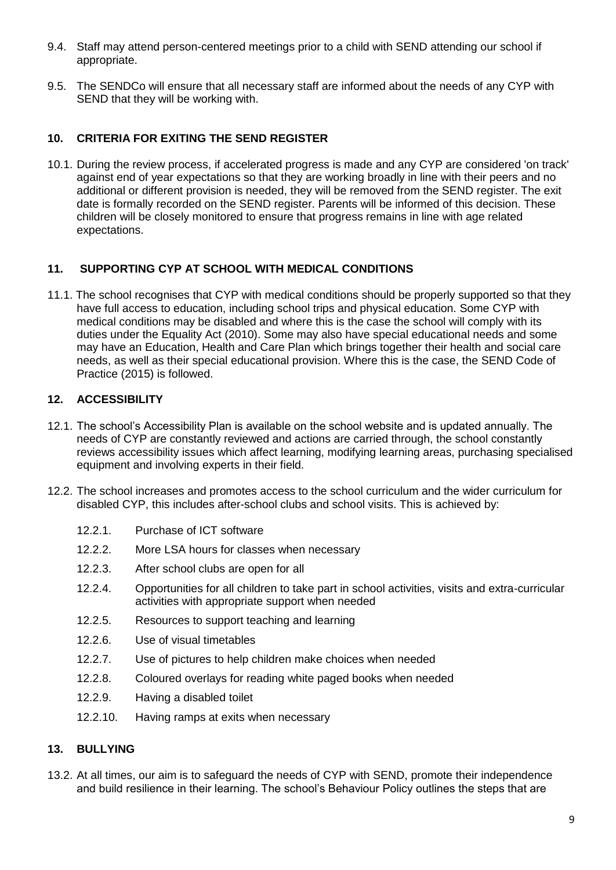- 9.4. Staff may attend person-centered meetings prior to a child with SEND attending our school if appropriate.
- 9.5. The SENDCo will ensure that all necessary staff are informed about the needs of any CYP with SEND that they will be working with.

# **10. CRITERIA FOR EXITING THE SEND REGISTER**

10.1. During the review process, if accelerated progress is made and any CYP are considered 'on track' against end of year expectations so that they are working broadly in line with their peers and no additional or different provision is needed, they will be removed from the SEND register. The exit date is formally recorded on the SEND register. Parents will be informed of this decision. These children will be closely monitored to ensure that progress remains in line with age related expectations.

# **11. SUPPORTING CYP AT SCHOOL WITH MEDICAL CONDITIONS**

11.1. The school recognises that CYP with medical conditions should be properly supported so that they have full access to education, including school trips and physical education. Some CYP with medical conditions may be disabled and where this is the case the school will comply with its duties under the Equality Act (2010). Some may also have special educational needs and some may have an Education, Health and Care Plan which brings together their health and social care needs, as well as their special educational provision. Where this is the case, the SEND Code of Practice (2015) is followed.

# **12. ACCESSIBILITY**

- 12.1. The school's Accessibility Plan is available on the school website and is updated annually. The needs of CYP are constantly reviewed and actions are carried through, the school constantly reviews accessibility issues which affect learning, modifying learning areas, purchasing specialised equipment and involving experts in their field.
- 12.2. The school increases and promotes access to the school curriculum and the wider curriculum for disabled CYP, this includes after-school clubs and school visits. This is achieved by:
	- 12.2.1. Purchase of ICT software
	- 12.2.2. More LSA hours for classes when necessary
	- 12.2.3. After school clubs are open for all
	- 12.2.4. Opportunities for all children to take part in school activities, visits and extra-curricular activities with appropriate support when needed
	- 12.2.5. Resources to support teaching and learning
	- 12.2.6. Use of visual timetables
	- 12.2.7. Use of pictures to help children make choices when needed
	- 12.2.8. Coloured overlays for reading white paged books when needed
	- 12.2.9. Having a disabled toilet
	- 12.2.10. Having ramps at exits when necessary

## **13. BULLYING**

13.2. At all times, our aim is to safeguard the needs of CYP with SEND, promote their independence and build resilience in their learning. The school's Behaviour Policy outlines the steps that are